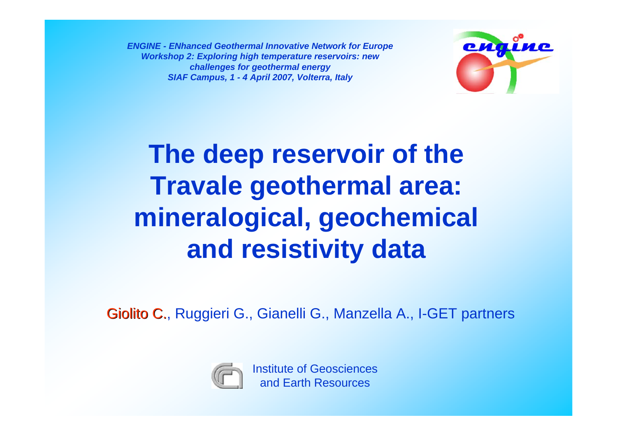*ENGINE - ENhanced Geothermal Innovative Network for Europe Workshop 2: Exploring high temperature reservoirs: new challenges for geothermal energy SIAF Campus, 1 - 4 April 2007, Volterra, Italy*



## **The deep reservoir of the Travale geothermal area: mineralogical, geochemical and resistivity data**

Giolito C., Ruggieri G., Gianelli G., Manzella A., I-GET partners

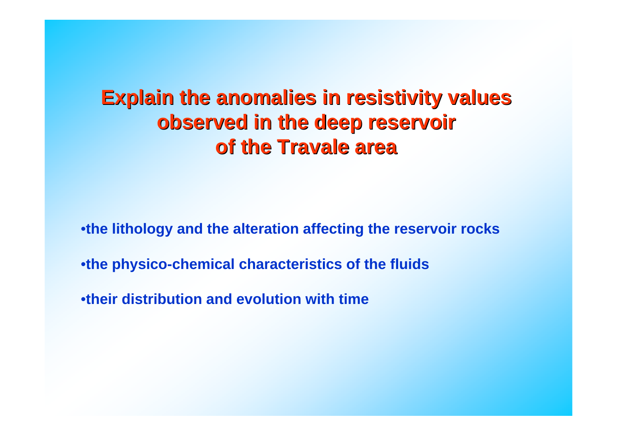## **Explain the anomalies in resistivity values Explain the anomalies in resistivity values observed in the deep reservoir of the Travale area of the Travale area**

•**the lithology and the alteration affecting the reservoir rocks**

•**the physico-chemical characteristics of the fluids**

•**their distribution and evolution with time**